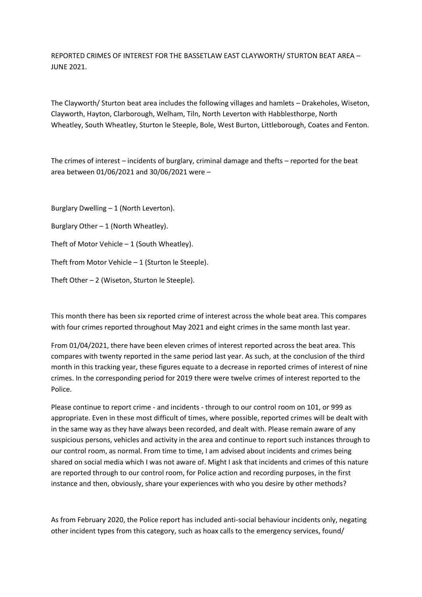REPORTED CRIMES OF INTEREST FOR THE BASSETLAW EAST CLAYWORTH/ STURTON BEAT AREA – JUNE 2021.

The Clayworth/ Sturton beat area includes the following villages and hamlets – Drakeholes, Wiseton, Clayworth, Hayton, Clarborough, Welham, Tiln, North Leverton with Habblesthorpe, North Wheatley, South Wheatley, Sturton le Steeple, Bole, West Burton, Littleborough, Coates and Fenton.

The crimes of interest – incidents of burglary, criminal damage and thefts – reported for the beat area between 01/06/2021 and 30/06/2021 were –

Burglary Dwelling – 1 (North Leverton).

Burglary Other  $-1$  (North Wheatley).

Theft of Motor Vehicle  $-1$  (South Wheatley).

Theft from Motor Vehicle – 1 (Sturton le Steeple).

Theft Other – 2 (Wiseton, Sturton le Steeple).

This month there has been six reported crime of interest across the whole beat area. This compares with four crimes reported throughout May 2021 and eight crimes in the same month last year.

From 01/04/2021, there have been eleven crimes of interest reported across the beat area. This compares with twenty reported in the same period last year. As such, at the conclusion of the third month in this tracking year, these figures equate to a decrease in reported crimes of interest of nine crimes. In the corresponding period for 2019 there were twelve crimes of interest reported to the Police.

Please continue to report crime - and incidents - through to our control room on 101, or 999 as appropriate. Even in these most difficult of times, where possible, reported crimes will be dealt with in the same way as they have always been recorded, and dealt with. Please remain aware of any suspicious persons, vehicles and activity in the area and continue to report such instances through to our control room, as normal. From time to time, I am advised about incidents and crimes being shared on social media which I was not aware of. Might I ask that incidents and crimes of this nature are reported through to our control room, for Police action and recording purposes, in the first instance and then, obviously, share your experiences with who you desire by other methods?

As from February 2020, the Police report has included anti-social behaviour incidents only, negating other incident types from this category, such as hoax calls to the emergency services, found/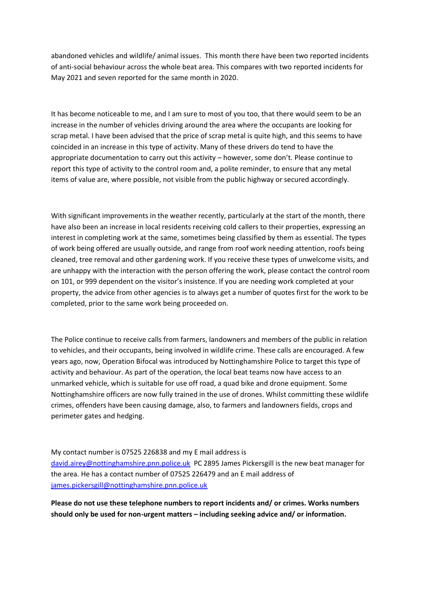abandoned vehicles and wildlife/ animal issues. This month there have been two reported incidents of anti-social behaviour across the whole beat area. This compares with two reported incidents for May 2021 and seven reported for the same month in 2020.

It has become noticeable to me, and I am sure to most of you too, that there would seem to be an increase in the number of vehicles driving around the area where the occupants are looking for scrap metal. I have been advised that the price of scrap metal is quite high, and this seems to have coincided in an increase in this type of activity. Many of these drivers do tend to have the appropriate documentation to carry out this activity – however, some don't. Please continue to report this type of activity to the control room and, a polite reminder, to ensure that any metal items of value are, where possible, not visible from the public highway or secured accordingly.

With significant improvements in the weather recently, particularly at the start of the month, there have also been an increase in local residents receiving cold callers to their properties, expressing an interest in completing work at the same, sometimes being classified by them as essential. The types of work being offered are usually outside, and range from roof work needing attention, roofs being cleaned, tree removal and other gardening work. If you receive these types of unwelcome visits, and are unhappy with the interaction with the person offering the work, please contact the control room on 101, or 999 dependent on the visitor's insistence. If you are needing work completed at your property, the advice from other agencies is to always get a number of quotes first for the work to be completed, prior to the same work being proceeded on.

The Police continue to receive calls from farmers, landowners and members of the public in relation to vehicles, and their occupants, being involved in wildlife crime. These calls are encouraged. A few years ago, now, Operation Bifocal was introduced by Nottinghamshire Police to target this type of activity and behaviour. As part of the operation, the local beat teams now have access to an unmarked vehicle, which is suitable for use off road, a quad bike and drone equipment. Some Nottinghamshire officers are now fully trained in the use of drones. Whilst committing these wildlife crimes, offenders have been causing damage, also, to farmers and landowners fields, crops and perimeter gates and hedging.

My contact number is 07525 226838 and my E mail address is [david.airey@nottinghamshire.pnn.police.uk](about:blank) PC 2895 James Pickersgill is the new beat manager for the area. He has a contact number of 07525 226479 and an E mail address of [james.pickersgill@nottinghamshire.pnn.police.uk](about:blank)

**Please do not use these telephone numbers to report incidents and/ or crimes. Works numbers should only be used for non-urgent matters – including seeking advice and/ or information.**